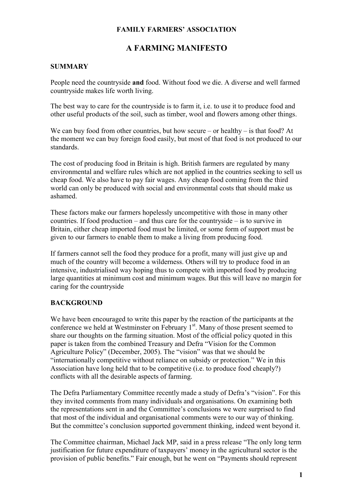### **FAMILY FARMERS' ASSOCIATION**

# **A FARMING MANIFESTO**

## **SUMMARY**

People need the countryside **and** food. Without food we die. A diverse and well farmed countryside makes life worth living.

The best way to care for the countryside is to farm it, i.e. to use it to produce food and other useful products of the soil, such as timber, wool and flowers among other things.

We can buy food from other countries, but how secure – or healthy – is that food? At the moment we can buy foreign food easily, but most of that food is not produced to our standards.

The cost of producing food in Britain is high. British farmers are regulated by many environmental and welfare rules which are not applied in the countries seeking to sell us cheap food. We also have to pay fair wages. Any cheap food coming from the third world can only be produced with social and environmental costs that should make us ashamed.

These factors make our farmers hopelessly uncompetitive with those in many other countries. If food production – and thus care for the countryside – is to survive in Britain, either cheap imported food must be limited, or some form of support must be given to our farmers to enable them to make a living from producing food.

If farmers cannot sell the food they produce for a profit, many will just give up and much of the country will become a wilderness. Others will try to produce food in an intensive, industrialised way hoping thus to compete with imported food by producing large quantities at minimum cost and minimum wages. But this will leave no margin for caring for the countryside

#### **BACKGROUND**

We have been encouraged to write this paper by the reaction of the participants at the conference we held at Westminster on February  $1<sup>st</sup>$ . Many of those present seemed to share our thoughts on the farming situation. Most of the official policy quoted in this paper is taken from the combined Treasury and Defra "Vision for the Common Agriculture Policy" (December, 2005). The "vision" was that we should be "internationally competitive without reliance on subsidy or protection." We in this Association have long held that to be competitive (i.e. to produce food cheaply?) conflicts with all the desirable aspects of farming.

The Defra Parliamentary Committee recently made a study of Defra's "vision". For this they invited comments from many individuals and organisations. On examining both the representations sent in and the Committee's conclusions we were surprised to find that most of the individual and organisational comments were to our way of thinking. But the committee's conclusion supported government thinking, indeed went beyond it.

The Committee chairman, Michael Jack MP, said in a press release "The only long term justification for future expenditure of taxpayers' money in the agricultural sector is the provision of public benefits." Fair enough, but he went on "Payments should represent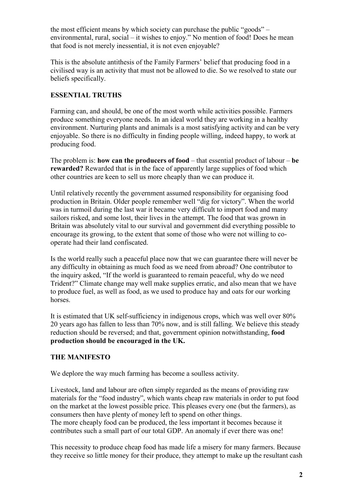the most efficient means by which society can purchase the public "goods" – environmental, rural, social – it wishes to enjoy." No mention of food! Does he mean that food is not merely inessential, it is not even enjoyable?

This is the absolute antithesis of the Family Farmers' belief that producing food in a civilised way is an activity that must not be allowed to die. So we resolved to state our beliefs specifically.

## **ESSENTIAL TRUTHS**

Farming can, and should, be one of the most worth while activities possible. Farmers produce something everyone needs. In an ideal world they are working in a healthy environment. Nurturing plants and animals is a most satisfying activity and can be very enjoyable. So there is no difficulty in finding people willing, indeed happy, to work at producing food.

The problem is: **how can the producers of food** – that essential product of labour – **be rewarded?** Rewarded that is in the face of apparently large supplies of food which other countries are keen to sell us more cheaply than we can produce it.

Until relatively recently the government assumed responsibility for organising food production in Britain. Older people remember well "dig for victory". When the world was in turmoil during the last war it became very difficult to import food and many sailors risked, and some lost, their lives in the attempt. The food that was grown in Britain was absolutely vital to our survival and government did everything possible to encourage its growing, to the extent that some of those who were not willing to cooperate had their land confiscated.

Is the world really such a peaceful place now that we can guarantee there will never be any difficulty in obtaining as much food as we need from abroad? One contributor to the inquiry asked, "If the world is guaranteed to remain peaceful, why do we need Trident?" Climate change may well make supplies erratic, and also mean that we have to produce fuel, as well as food, as we used to produce hay and oats for our working horses.

It is estimated that UK self-sufficiency in indigenous crops, which was well over 80% 20 years ago has fallen to less than 70% now, and is still falling. We believe this steady reduction should be reversed; and that, government opinion notwithstanding, **food production should be encouraged in the UK.**

## **THE MANIFESTO**

We deplore the way much farming has become a soulless activity.

Livestock, land and labour are often simply regarded as the means of providing raw materials for the "food industry", which wants cheap raw materials in order to put food on the market at the lowest possible price. This pleases every one (but the farmers), as consumers then have plenty of money left to spend on other things. The more cheaply food can be produced, the less important it becomes because it contributes such a small part of our total GDP. An anomaly if ever there was one!

This necessity to produce cheap food has made life a misery for many farmers. Because they receive so little money for their produce, they attempt to make up the resultant cash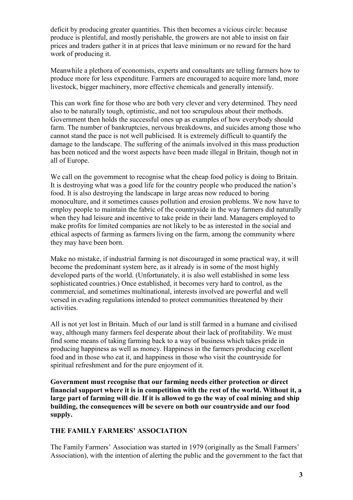deficit by producing greater quantities. This then becomes a vicious circle: because produce is plentiful, and mostly perishable, the growers are not able to insist on fair prices and traders gather it in at prices that leave minimum or no reward for the hard work of producing it.

Meanwhile a plethora of economists, experts and consultants are telling farmers how to produce more for less expenditure. Farmers are encouraged to acquire more land, more livestock, bigger machinery, more effective chemicals and generally intensify.

This can work fine for those who are both very clever and very determined. They need also to be naturally tough, optimistic, and not too scrupulous about their methods. Government then holds the successful ones up as examples of how everybody should farm. The number of bankruptcies, nervous breakdowns, and suicides among those who cannot stand the pace is not well publicised. It is extremely difficult to quantify the damage to the landscape. The suffering of the animals involved in this mass production has been noticed and the worst aspects have been made illegal in Britain, though not in all of Europe.

We call on the government to recognise what the cheap food policy is doing to Britain. It is destroying what was a good life for the country people who produced the nation's food. It is also destroying the landscape in large areas now reduced to boring monoculture, and it sometimes causes pollution and erosion problems. We now have to employ people to maintain the fabric of the countryside in the way farmers did naturally when they had leisure and incentive to take pride in their land. Managers employed to make profits for limited companies are not likely to be as interested in the social and ethical aspects of farming as farmers living on the farm, among the community where they may have been born.

Make no mistake, if industrial farming is not discouraged in some practical way, it will become the predominant system here, as it already is in some of the most highly developed parts of the world. (Unfortunately, it is also well established in some less sophisticated countries.) Once established, it becomes very hard to control, as the commercial, and sometimes multinational, interests involved are powerful and well versed in evading regulations intended to protect communities threatened by their activities.

All is not yet lost in Britain. Much of our land is still farmed in a humane and civilised way, although many farmers feel desperate about their lack of profitability. We must find some means of taking farming back to a way of business which takes pride in producing happiness as well as money. Happiness in the farmers producing excellent food and in those who eat it, and happiness in those who visit the countryside for spiritual refreshment and for the pure enjoyment of it.

**Government must recognise that our farming needs either protection or direct financial support where it is in competition with the rest of the world. Without it, a large part of farming will die**. **If it is allowed to go the way of coal mining and ship building, the consequences will be severe on both our countryside and our food supply.** 

## **THE FAMILY FARMERS' ASSOCIATION**

The Family Farmers' Association was started in 1979 (originally as the Small Farmers' Association), with the intention of alerting the public and the government to the fact that